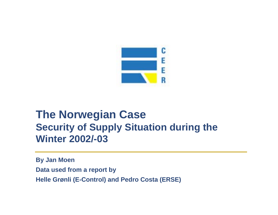

# **The Norwegian Case Security of Supply Situation during the Winter 2002/-03**

**By Jan Moen Data used from a report by Helle Grønli (E-Control) and Pedro Costa (ERSE)**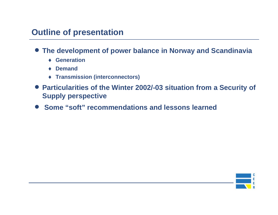# **Outline of presentation**

- **The development of power balance in Norway and Scandinavia**
	- ♦ **Generation**
	- ♦ **Demand**
	- ♦ **Transmission (interconnectors)**
- **Particularities of the Winter 2002/-03 situation from a Security of Supply perspective**
- **Some "soft" recommendations and lessons learned**

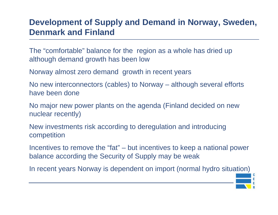## **Development of Supply and Demand in Norway, Sweden, Denmark and Finland**

The "comfortable" balance for the region as a whole has dried up although demand growth has been low

Norway almost zero demand growth in recent years

No new interconnectors (cables) to Norway – although several efforts have been done

No major new power plants on the agenda (Finland decided on new nuclear recently)

New investments risk according to deregulation and introducing competition

Incentives to remove the "fat" – but incentives to keep a national power balance according the Security of Supply may be weak

In recent years Norway is dependent on import (normal hydro situation)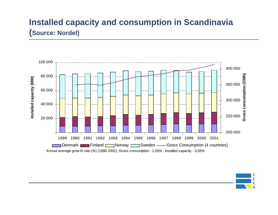# **Installed capacity and consumption in Scandinavia (Source: Nordel)**



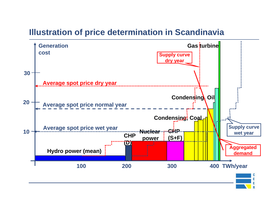## **Illustration of price determination in Scandinavia**

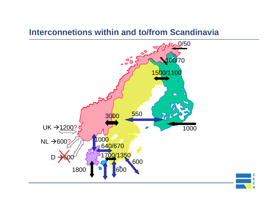#### **Interconnetions within and to/from Scandinavia**



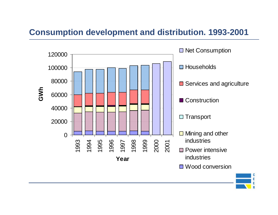### **Consumption development and distribution. 1993-2001**



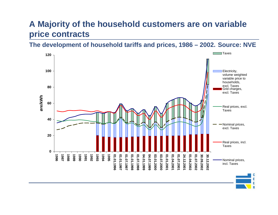# **A Majority of the household customers are on variable price contracts**

**The development of household tariffs and prices, 1986 – 2002. Source: NVE**

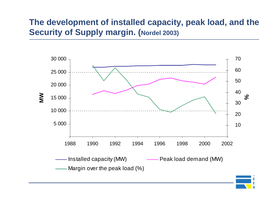# **The development of installed capacity, peak load, and the Security of Supply margin. (Nordel 2003)**

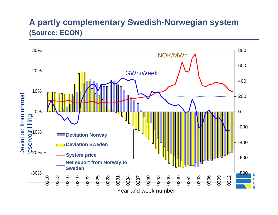### **A partly complementary Swedish-Norwegian system (Source: ECON)**

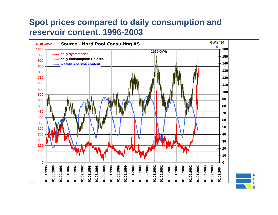# **Spot prices compared to daily consumption and reservoir content. 1996-2003**

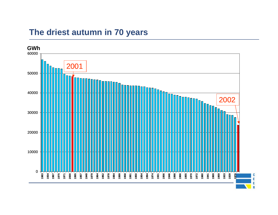#### **The driest autumn in 70 years**

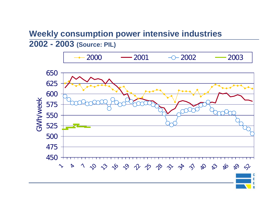#### **Weekly consumption power intensive industries 2002 - 2003 (Source: PIL)**



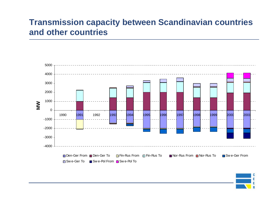### **Transmission capacity between Scandinavian countries and other countries**



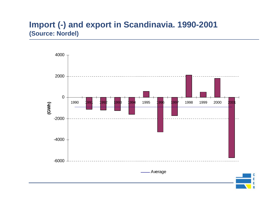#### **Import (-) and export in Scandinavia. 1990-2001 (Source: Nordel)**

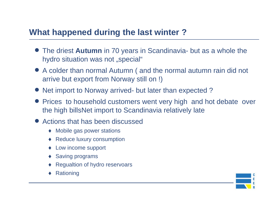## **What happened during the last winter ?**

- The driest **Autumn** in 70 years in Scandinavia- but as a whole the hydro situation was not "special"
- A colder than normal Autumn ( and the normal autumn rain did not arrive but export from Norway still on !)
- Net import to Norway arrived- but later than expected?
- Prices to household customers went very high and hot debate over the high billsNet import to Scandinavia relatively late
- Actions that has been discussed
	- ♦ Mobile gas power stations
	- ♦ Reduce luxury consumption
	- ♦ Low income support
	- ♦ Saving programs
	- ♦Regualtion of hydro reservoars
	- ◆ Rationing

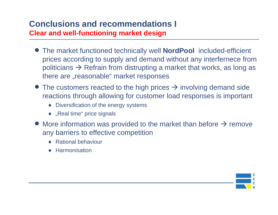# **Conclusions and recommendations I**

**Clear and well-functioning market design**

- The market functioned technically well **NordPool** included-efficient prices according to supply and demand without any interfernece from politicians  $\Rightarrow$  Refrain from distrupting a market that works, as long as there are "reasonable" market responses
- The customers reacted to the high prices  $\rightarrow$  involving demand side reactions through allowing for customer load responses is important
	- ♦ Diversification of the energy systems
	- ◆ "Real time" price signals
- More information was provided to the market than before  $\rightarrow$  remove any barriers to effective competition
	- ◆ Rational behaviour
	- ♦ Harmonisation